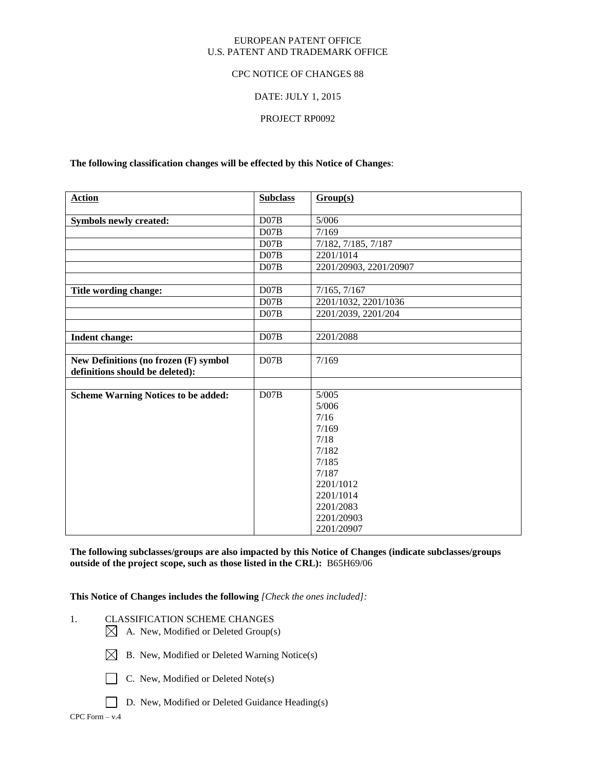## EUROPEAN PATENT OFFICE U.S. PATENT AND TRADEMARK OFFICE

## CPC NOTICE OF CHANGES 88

## DATE: JULY 1, 2015

## PROJECT RP0092

## **The following classification changes will be effected by this Notice of Changes**:

| <b>Action</b>                              | <b>Subclass</b> | Group(s)               |
|--------------------------------------------|-----------------|------------------------|
|                                            |                 |                        |
| <b>Symbols newly created:</b>              | DO7B            | 5/006                  |
|                                            | D07B            | $\frac{7}{169}$        |
|                                            | DO7B            | 7/182, 7/185, 7/187    |
|                                            | D07B            | 2201/1014              |
|                                            | DO7B            | 2201/20903, 2201/20907 |
|                                            |                 |                        |
| Title wording change:                      | DO7B            | 7/165, 7/167           |
|                                            | D07B            | 2201/1032, 2201/1036   |
|                                            | DO7B            | 2201/2039, 2201/204    |
|                                            |                 |                        |
| <b>Indent change:</b>                      | D07B            | 2201/2088              |
|                                            |                 |                        |
| New Definitions (no frozen (F) symbol      | DO7B            | 7/169                  |
| definitions should be deleted):            |                 |                        |
|                                            |                 |                        |
| <b>Scheme Warning Notices to be added:</b> | D07B            | 5/005                  |
|                                            |                 | 5/006                  |
|                                            |                 | 7/16                   |
|                                            |                 | 7/169                  |
|                                            |                 | 7/18                   |
|                                            |                 | 7/182                  |
|                                            |                 | 7/185                  |
|                                            |                 | 7/187                  |
|                                            |                 | 2201/1012              |
|                                            |                 | 2201/1014              |
|                                            |                 | 2201/2083              |
|                                            |                 | 2201/20903             |
|                                            |                 | 2201/20907             |

**The following subclasses/groups are also impacted by this Notice of Changes (indicate subclasses/groups outside of the project scope, such as those listed in the CRL):** B65H69/06

**This Notice of Changes includes the following** *[Check the ones included]:*

- 1. CLASSIFICATION SCHEME CHANGES
	- $\boxtimes$  A. New, Modified or Deleted Group(s)



- $\boxtimes$  B. New, Modified or Deleted Warning Notice(s)
- C. New, Modified or Deleted Note(s)
- D. New, Modified or Deleted Guidance Heading(s)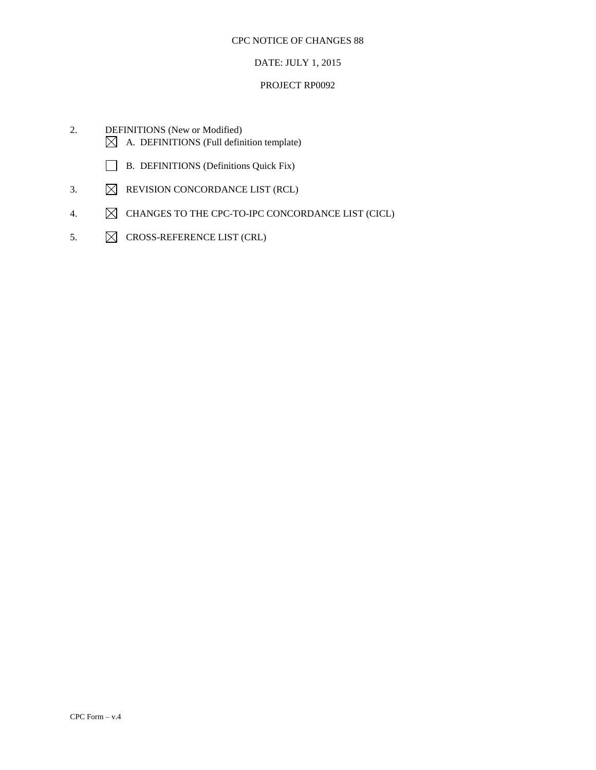## DATE: JULY 1, 2015

## PROJECT RP0092

- 2. DEFINITIONS (New or Modified)  $\boxtimes$  A. DEFINITIONS (Full definition template)
	- B. DEFINITIONS (Definitions Quick Fix)
- 3.  $\boxtimes$  REVISION CONCORDANCE LIST (RCL)
- 4.  $\boxtimes$  CHANGES TO THE CPC-TO-IPC CONCORDANCE LIST (CICL)
- 5.  $\boxtimes$  CROSS-REFERENCE LIST (CRL)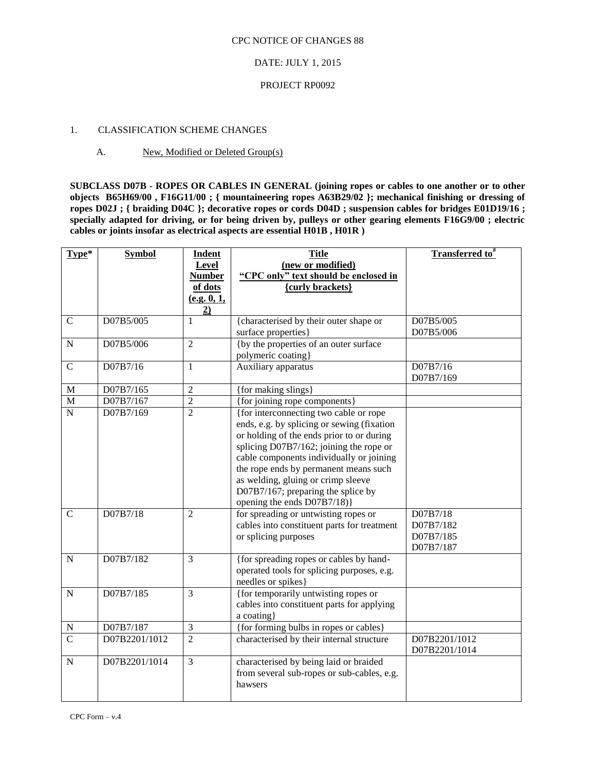## DATE: JULY 1, 2015

## PROJECT RP0092

## 1. CLASSIFICATION SCHEME CHANGES

## A. New, Modified or Deleted Group(s)

**SUBCLASS D07B - ROPES OR CABLES IN GENERAL (joining ropes or cables to one another or to other objects B65H69/00 , F16G11/00 ; { mountaineering ropes A63B29/02 }; mechanical finishing or dressing of ropes D02J ; { braiding D04C }; decorative ropes or cords D04D ; suspension cables for bridges E01D19/16 ; specially adapted for driving, or for being driven by, pulleys or other gearing elements F16G9/00 ; electric cables or joints insofar as electrical aspects are essential H01B , H01R )** 

| Type*                         | <b>Symbol</b>         | <b>Indent</b><br>Level<br><b>Number</b>  | <b>Title</b><br>(new or modified)<br>"CPC only" text should be enclosed in                                                                                                                                                                                                                                                                                                                                                                                                                  | <b>Transferred to</b> #                         |
|-------------------------------|-----------------------|------------------------------------------|---------------------------------------------------------------------------------------------------------------------------------------------------------------------------------------------------------------------------------------------------------------------------------------------------------------------------------------------------------------------------------------------------------------------------------------------------------------------------------------------|-------------------------------------------------|
|                               |                       | of dots<br>(e.g. 0, 1,<br>$\overline{2}$ | {curly brackets}                                                                                                                                                                                                                                                                                                                                                                                                                                                                            |                                                 |
| $\mathbf C$                   | D07B5/005             | $\mathbf{1}$                             | {characterised by their outer shape or<br>surface properties}                                                                                                                                                                                                                                                                                                                                                                                                                               | D07B5/005<br>D07B5/006                          |
| $\mathbf N$                   | D07B5/006             | $\overline{2}$                           | {by the properties of an outer surface<br>polymeric coating}                                                                                                                                                                                                                                                                                                                                                                                                                                |                                                 |
| $\mathbf C$                   | D07B7/16              | $\mathbf 1$                              | Auxiliary apparatus                                                                                                                                                                                                                                                                                                                                                                                                                                                                         | D07B7/16<br>D07B7/169                           |
| M                             | D07B7/165             | $\overline{2}$                           | {for making slings}                                                                                                                                                                                                                                                                                                                                                                                                                                                                         |                                                 |
| $\mathbf M$                   | D07B7/167             | $\overline{2}$                           | {for joining rope components}                                                                                                                                                                                                                                                                                                                                                                                                                                                               |                                                 |
| $\overline{N}$<br>$\mathbf C$ | D07B7/169<br>D07B7/18 | $\overline{2}$<br>$\overline{2}$         | {for interconnecting two cable or rope<br>ends, e.g. by splicing or sewing (fixation<br>or holding of the ends prior to or during<br>splicing D07B7/162; joining the rope or<br>cable components individually or joining<br>the rope ends by permanent means such<br>as welding, gluing or crimp sleeve<br>D07B7/167; preparing the splice by<br>opening the ends D07B7/18)}<br>for spreading or untwisting ropes or<br>cables into constituent parts for treatment<br>or splicing purposes | D07B7/18<br>D07B7/182<br>D07B7/185<br>D07B7/187 |
| $\mathbf N$                   | D07B7/182             | 3                                        | {for spreading ropes or cables by hand-<br>operated tools for splicing purposes, e.g.<br>needles or spikes}                                                                                                                                                                                                                                                                                                                                                                                 |                                                 |
| $\mathbf N$                   | D07B7/185             | 3                                        | {for temporarily untwisting ropes or<br>cables into constituent parts for applying<br>a coating}                                                                                                                                                                                                                                                                                                                                                                                            |                                                 |
| $\mathbf N$                   | D07B7/187             | 3                                        | {for forming bulbs in ropes or cables}                                                                                                                                                                                                                                                                                                                                                                                                                                                      |                                                 |
| $\overline{C}$                | D07B2201/1012         | $\overline{2}$                           | characterised by their internal structure                                                                                                                                                                                                                                                                                                                                                                                                                                                   | D07B2201/1012<br>D07B2201/1014                  |
| N                             | D07B2201/1014         | 3                                        | characterised by being laid or braided<br>from several sub-ropes or sub-cables, e.g.<br>hawsers                                                                                                                                                                                                                                                                                                                                                                                             |                                                 |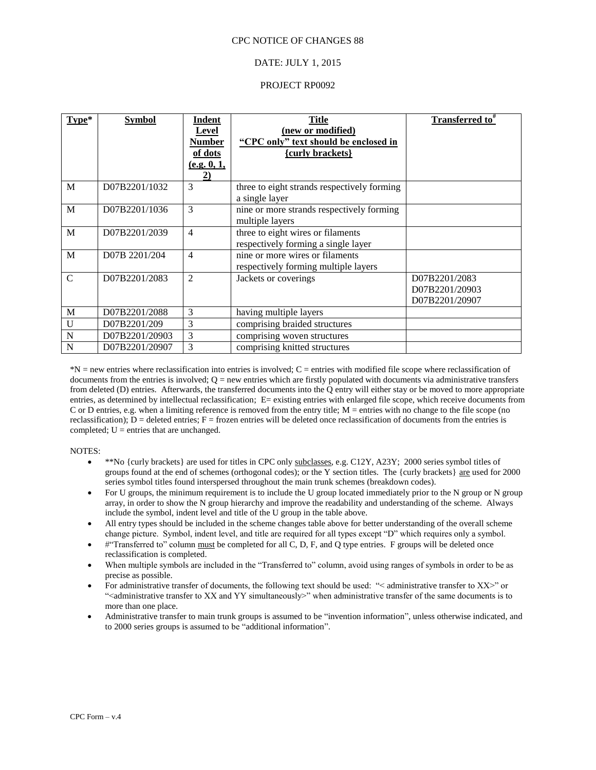## DATE: JULY 1, 2015

### PROJECT RP0092

| $Type*$       | <b>Symbol</b>  | Indent<br><b>Level</b><br><b>Number</b><br>of dots<br><u>(e.g. 0, 1, </u><br>$\overline{2)}$ | Title<br>(new or modified)<br>"CPC only" text should be enclosed in<br>{curly brackets} | <b>Transferred to</b> <sup>#</sup>                |
|---------------|----------------|----------------------------------------------------------------------------------------------|-----------------------------------------------------------------------------------------|---------------------------------------------------|
| M             | D07B2201/1032  | 3                                                                                            | three to eight strands respectively forming<br>a single layer                           |                                                   |
| M             | D07B2201/1036  | 3                                                                                            | nine or more strands respectively forming<br>multiple layers                            |                                                   |
| M             | D07B2201/2039  | $\overline{4}$                                                                               | three to eight wires or filaments<br>respectively forming a single layer                |                                                   |
| M             | D07B 2201/204  | $\overline{4}$                                                                               | nine or more wires or filaments<br>respectively forming multiple layers                 |                                                   |
| $\mathcal{C}$ | D07B2201/2083  | $\overline{c}$                                                                               | Jackets or coverings                                                                    | D07B2201/2083<br>D07B2201/20903<br>D07B2201/20907 |
| M             | D07B2201/2088  | 3                                                                                            | having multiple layers                                                                  |                                                   |
| $\mathbf U$   | D07B2201/209   | 3                                                                                            | comprising braided structures                                                           |                                                   |
| N             | D07B2201/20903 | 3                                                                                            | comprising woven structures                                                             |                                                   |
| N             | D07B2201/20907 | 3                                                                                            | comprising knitted structures                                                           |                                                   |

\*N = new entries where reclassification into entries is involved; C = entries with modified file scope where reclassification of documents from the entries is involved;  $Q =$  new entries which are firstly populated with documents via administrative transfers from deleted (D) entries. Afterwards, the transferred documents into the Q entry will either stay or be moved to more appropriate entries, as determined by intellectual reclassification; E= existing entries with enlarged file scope, which receive documents from C or D entries, e.g. when a limiting reference is removed from the entry title; M = entries with no change to the file scope (no reclassification);  $D =$  deleted entries;  $F =$  frozen entries will be deleted once reclassification of documents from the entries is completed;  $U =$  entries that are unchanged.

- \*\*No {curly brackets} are used for titles in CPC only subclasses, e.g. C12Y, A23Y; 2000 series symbol titles of groups found at the end of schemes (orthogonal codes); or the Y section titles. The {curly brackets} are used for 2000 series symbol titles found interspersed throughout the main trunk schemes (breakdown codes).
- For U groups, the minimum requirement is to include the U group located immediately prior to the N group or N group array, in order to show the N group hierarchy and improve the readability and understanding of the scheme. Always include the symbol, indent level and title of the U group in the table above.
- All entry types should be included in the scheme changes table above for better understanding of the overall scheme change picture. Symbol, indent level, and title are required for all types except "D" which requires only a symbol.
- #"Transferred to" column must be completed for all C, D, F, and Q type entries. F groups will be deleted once reclassification is completed.
- When multiple symbols are included in the "Transferred to" column, avoid using ranges of symbols in order to be as precise as possible.
- For administrative transfer of documents, the following text should be used: "< administrative transfer to XX>" or "<administrative transfer to XX and YY simultaneously>" when administrative transfer of the same documents is to more than one place.
- Administrative transfer to main trunk groups is assumed to be "invention information", unless otherwise indicated, and to 2000 series groups is assumed to be "additional information".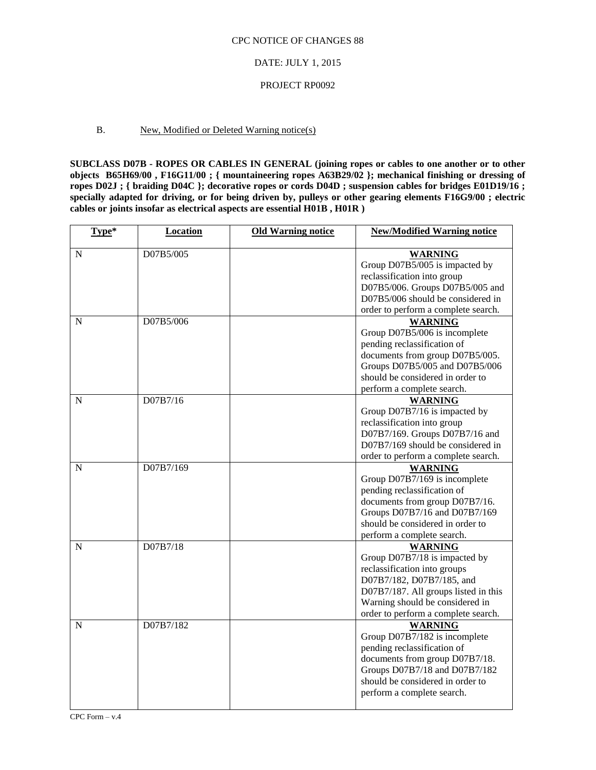#### DATE: JULY 1, 2015

#### PROJECT RP0092

## B. New, Modified or Deleted Warning notice(s)

**SUBCLASS D07B - ROPES OR CABLES IN GENERAL (joining ropes or cables to one another or to other objects B65H69/00 , F16G11/00 ; { mountaineering ropes A63B29/02 }; mechanical finishing or dressing of ropes D02J ; { braiding D04C }; decorative ropes or cords D04D ; suspension cables for bridges E01D19/16 ; specially adapted for driving, or for being driven by, pulleys or other gearing elements F16G9/00 ; electric cables or joints insofar as electrical aspects are essential H01B , H01R )** 

| Type* | Location  | <b>Old Warning notice</b> | <b>New/Modified Warning notice</b>                                                                                                                                                                                             |
|-------|-----------|---------------------------|--------------------------------------------------------------------------------------------------------------------------------------------------------------------------------------------------------------------------------|
| N     | D07B5/005 |                           | <b>WARNING</b><br>Group D07B5/005 is impacted by<br>reclassification into group<br>D07B5/006. Groups D07B5/005 and<br>D07B5/006 should be considered in<br>order to perform a complete search.                                 |
| N     | D07B5/006 |                           | <b>WARNING</b><br>Group D07B5/006 is incomplete<br>pending reclassification of<br>documents from group D07B5/005.<br>Groups D07B5/005 and D07B5/006<br>should be considered in order to<br>perform a complete search.          |
| N     | D07B7/16  |                           | <b>WARNING</b><br>Group D07B7/16 is impacted by<br>reclassification into group<br>D07B7/169. Groups D07B7/16 and<br>D07B7/169 should be considered in<br>order to perform a complete search.                                   |
| N     | D07B7/169 |                           | <b>WARNING</b><br>Group D07B7/169 is incomplete<br>pending reclassification of<br>documents from group D07B7/16.<br>Groups D07B7/16 and D07B7/169<br>should be considered in order to<br>perform a complete search.            |
| N     | D07B7/18  |                           | <b>WARNING</b><br>Group D07B7/18 is impacted by<br>reclassification into groups<br>D07B7/182, D07B7/185, and<br>D07B7/187. All groups listed in this<br>Warning should be considered in<br>order to perform a complete search. |
| N     | D07B7/182 |                           | <b>WARNING</b><br>Group D07B7/182 is incomplete<br>pending reclassification of<br>documents from group D07B7/18.<br>Groups D07B7/18 and D07B7/182<br>should be considered in order to<br>perform a complete search.            |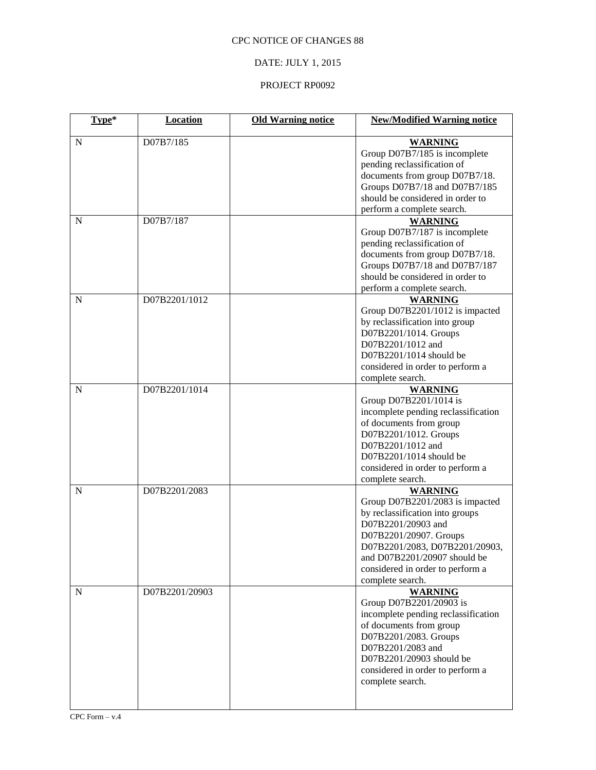# DATE: JULY 1, 2015

## PROJECT RP0092

| Type*       | <b>Location</b> | <b>Old Warning notice</b> | <b>New/Modified Warning notice</b>                   |
|-------------|-----------------|---------------------------|------------------------------------------------------|
| N           | D07B7/185       |                           | <b>WARNING</b>                                       |
|             |                 |                           | Group D07B7/185 is incomplete                        |
|             |                 |                           | pending reclassification of                          |
|             |                 |                           | documents from group D07B7/18.                       |
|             |                 |                           | Groups D07B7/18 and D07B7/185                        |
|             |                 |                           | should be considered in order to                     |
|             |                 |                           | perform a complete search.                           |
| N           | D07B7/187       |                           | <b>WARNING</b>                                       |
|             |                 |                           | Group D07B7/187 is incomplete                        |
|             |                 |                           | pending reclassification of                          |
|             |                 |                           | documents from group D07B7/18.                       |
|             |                 |                           | Groups D07B7/18 and D07B7/187                        |
|             |                 |                           | should be considered in order to                     |
|             |                 |                           | perform a complete search.                           |
| ${\bf N}$   | D07B2201/1012   |                           | <b>WARNING</b>                                       |
|             |                 |                           | Group D07B2201/1012 is impacted                      |
|             |                 |                           | by reclassification into group                       |
|             |                 |                           | D07B2201/1014. Groups                                |
|             |                 |                           | D07B2201/1012 and                                    |
|             |                 |                           | D07B2201/1014 should be                              |
|             |                 |                           |                                                      |
|             |                 |                           | considered in order to perform a<br>complete search. |
|             |                 |                           |                                                      |
| $\mathbf N$ | D07B2201/1014   |                           | <b>WARNING</b>                                       |
|             |                 |                           | Group D07B2201/1014 is                               |
|             |                 |                           | incomplete pending reclassification                  |
|             |                 |                           | of documents from group                              |
|             |                 |                           | D07B2201/1012. Groups                                |
|             |                 |                           | D07B2201/1012 and                                    |
|             |                 |                           | D07B2201/1014 should be                              |
|             |                 |                           | considered in order to perform a                     |
|             |                 |                           | complete search.                                     |
| N           | D07B2201/2083   |                           | <b>WARNING</b>                                       |
|             |                 |                           | Group D07B2201/2083 is impacted                      |
|             |                 |                           | by reclassification into groups                      |
|             |                 |                           | D07B2201/20903 and                                   |
|             |                 |                           | D07B2201/20907. Groups                               |
|             |                 |                           | D07B2201/2083, D07B2201/20903,                       |
|             |                 |                           | and D07B2201/20907 should be                         |
|             |                 |                           | considered in order to perform a                     |
|             |                 |                           | complete search.                                     |
| N           | D07B2201/20903  |                           | <b>WARNING</b>                                       |
|             |                 |                           | Group D07B2201/20903 is                              |
|             |                 |                           | incomplete pending reclassification                  |
|             |                 |                           | of documents from group                              |
|             |                 |                           | D07B2201/2083. Groups                                |
|             |                 |                           | D07B2201/2083 and                                    |
|             |                 |                           | D07B2201/20903 should be                             |
|             |                 |                           | considered in order to perform a                     |
|             |                 |                           | complete search.                                     |
|             |                 |                           |                                                      |
|             |                 |                           |                                                      |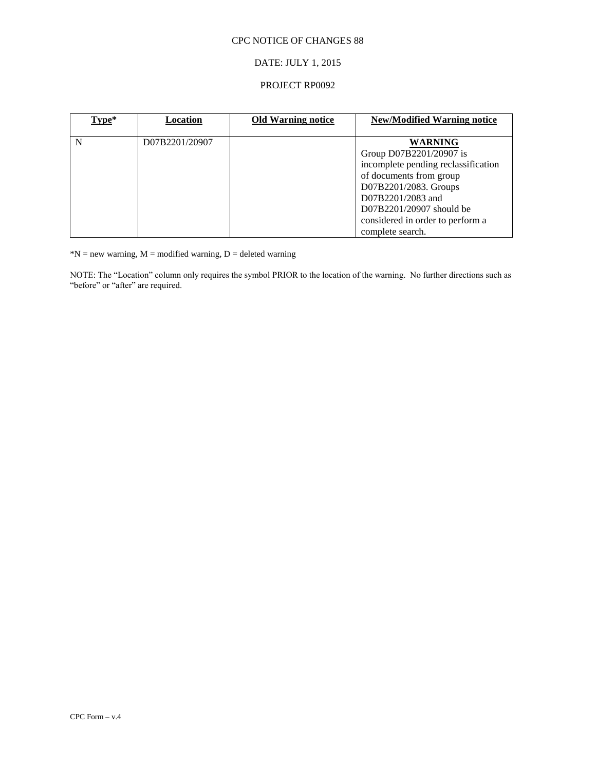## DATE: JULY 1, 2015

## PROJECT RP0092

| Type* | Location       | <b>Old Warning notice</b> | <b>New/Modified Warning notice</b>  |
|-------|----------------|---------------------------|-------------------------------------|
|       |                |                           |                                     |
| N     | D07B2201/20907 |                           | <b>WARNING</b>                      |
|       |                |                           | Group D07B2201/20907 is             |
|       |                |                           | incomplete pending reclassification |
|       |                |                           | of documents from group             |
|       |                |                           | D07B2201/2083. Groups               |
|       |                |                           | D07B2201/2083 and                   |
|       |                |                           | D07B2201/20907 should be            |
|       |                |                           | considered in order to perform a    |
|       |                |                           | complete search.                    |

 $N = new warning, M = modified warning, D = deleted warning$ 

NOTE: The "Location" column only requires the symbol PRIOR to the location of the warning. No further directions such as "before" or "after" are required.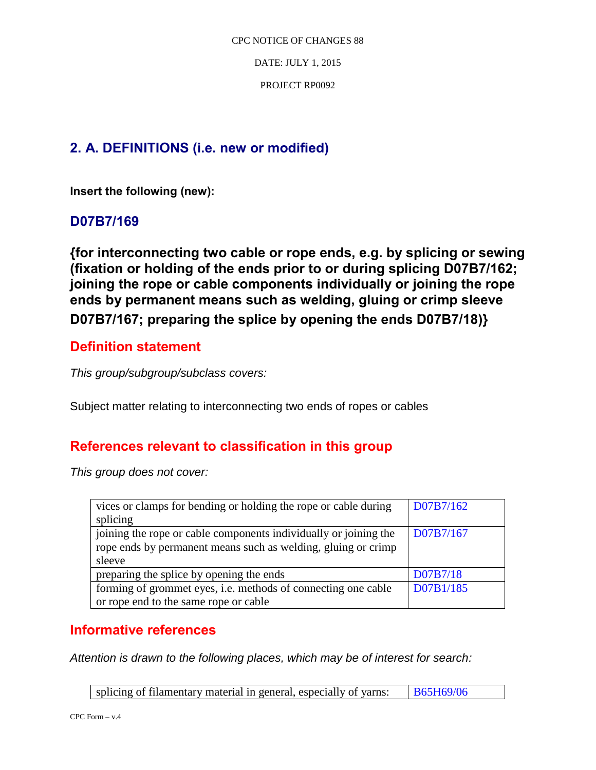DATE: JULY 1, 2015

PROJECT RP0092

# **2. A. DEFINITIONS (i.e. new or modified)**

**Insert the following (new):** 

# **D07B7/169**

**{for interconnecting two cable or rope ends, e.g. by splicing or sewing (fixation or holding of the ends prior to or during splicing D07B7/162; joining the rope or cable components individually or joining the rope ends by permanent means such as welding, gluing or crimp sleeve D07B7/167; preparing the splice by opening the ends D07B7/18)}**

# **Definition statement**

*This group/subgroup/subclass covers:*

Subject matter relating to interconnecting two ends of ropes or cables

# **References relevant to classification in this group**

*This group does not cover:* 

| vices or clamps for bending or holding the rope or cable during  | D07B7/162 |
|------------------------------------------------------------------|-----------|
| splicing                                                         |           |
| joining the rope or cable components individually or joining the | D07B7/167 |
| rope ends by permanent means such as welding, gluing or crimp    |           |
| sleeve                                                           |           |
| preparing the splice by opening the ends                         | D07B7/18  |
| forming of grommet eyes, i.e. methods of connecting one cable    | D07B1/185 |
| or rope end to the same rope or cable                            |           |

# **Informative references**

*Attention is drawn to the following places, which may be of interest for search:* 

splicing of filamentary material in general, especially of yarns:  $\frac{1865H69}{06}$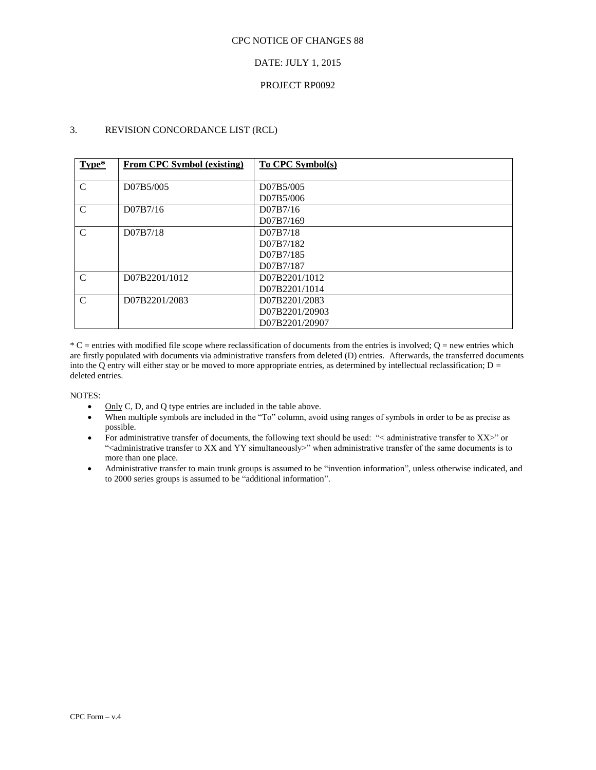## DATE: JULY 1, 2015

## PROJECT RP0092

## 3. REVISION CONCORDANCE LIST (RCL)

| Type*         | From CPC Symbol (existing) | To CPC Symbol(s) |
|---------------|----------------------------|------------------|
|               |                            |                  |
| $\mathcal{C}$ | D07B5/005                  | D07B5/005        |
|               |                            | D07B5/006        |
| $\mathcal{C}$ | D07B7/16                   | D07B7/16         |
|               |                            | D07B7/169        |
| C             | D07B7/18                   | D07B7/18         |
|               |                            | D07B7/182        |
|               |                            | D07B7/185        |
|               |                            | D07B7/187        |
| C             | D07B2201/1012              | D07B2201/1012    |
|               |                            | D07B2201/1014    |
| $\mathcal{C}$ | D07B2201/2083              | D07B2201/2083    |
|               |                            | D07B2201/20903   |
|               |                            | D07B2201/20907   |

 $*C$  = entries with modified file scope where reclassification of documents from the entries is involved;  $Q$  = new entries which are firstly populated with documents via administrative transfers from deleted (D) entries. Afterwards, the transferred documents into the Q entry will either stay or be moved to more appropriate entries, as determined by intellectual reclassification;  $D =$ deleted entries.

- $\bullet$  Only C, D, and Q type entries are included in the table above.
- When multiple symbols are included in the "To" column, avoid using ranges of symbols in order to be as precise as possible.
- For administrative transfer of documents, the following text should be used: "< administrative transfer to XX>" or "<administrative transfer to XX and YY simultaneously>" when administrative transfer of the same documents is to more than one place.
- Administrative transfer to main trunk groups is assumed to be "invention information", unless otherwise indicated, and to 2000 series groups is assumed to be "additional information".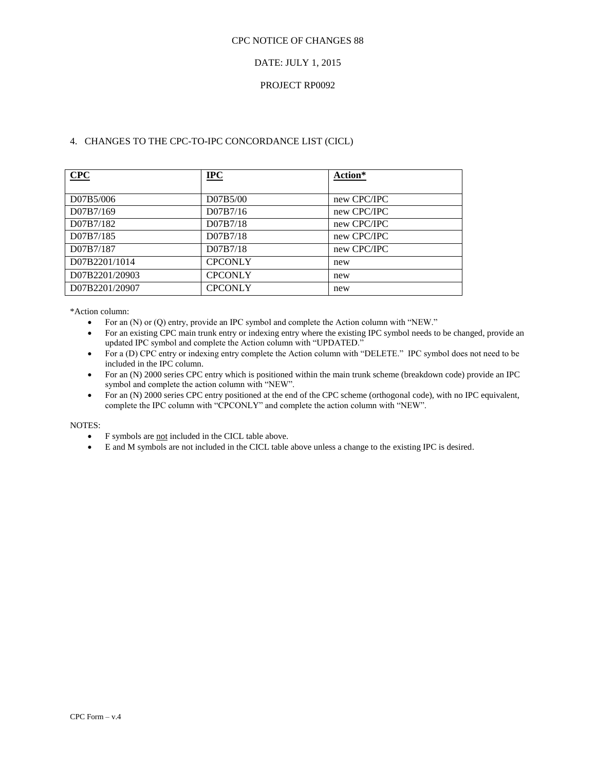## DATE: JULY 1, 2015

## PROJECT RP0092

## 4. CHANGES TO THE CPC-TO-IPC CONCORDANCE LIST (CICL)

| CPC            | $IPC$          | Action*     |
|----------------|----------------|-------------|
|                |                |             |
| D07B5/006      | D07B5/00       | new CPC/IPC |
| D07B7/169      | D07B7/16       | new CPC/IPC |
| D07B7/182      | D07B7/18       | new CPC/IPC |
| D07B7/185      | D07B7/18       | new CPC/IPC |
| D07B7/187      | D07B7/18       | new CPC/IPC |
| D07B2201/1014  | <b>CPCONLY</b> | new         |
| D07B2201/20903 | <b>CPCONLY</b> | new         |
| D07B2201/20907 | <b>CPCONLY</b> | new         |

\*Action column:

- For an (N) or (Q) entry, provide an IPC symbol and complete the Action column with "NEW."
- For an existing CPC main trunk entry or indexing entry where the existing IPC symbol needs to be changed, provide an updated IPC symbol and complete the Action column with "UPDATED."
- For a (D) CPC entry or indexing entry complete the Action column with "DELETE." IPC symbol does not need to be included in the IPC column.
- For an (N) 2000 series CPC entry which is positioned within the main trunk scheme (breakdown code) provide an IPC symbol and complete the action column with "NEW".
- For an (N) 2000 series CPC entry positioned at the end of the CPC scheme (orthogonal code), with no IPC equivalent, complete the IPC column with "CPCONLY" and complete the action column with "NEW".

- F symbols are not included in the CICL table above.
- E and M symbols are not included in the CICL table above unless a change to the existing IPC is desired.